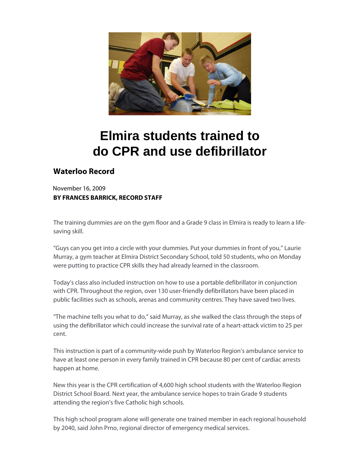

## **Elmira students trained to do CPR and use defibrillator**

## **Waterloo Record**

November 16, 2009 **BY FRANCES BARRICK, RECORD STAFF**

The training dummies are on the gym floor and a Grade 9 class in Elmira is ready to learn a lifesaving skill.

"Guys can you get into a circle with your dummies. Put your dummies in front of you," Laurie Murray, a gym teacher at Elmira District Secondary School, told 50 students, who on Monday were putting to practice CPR skills they had already learned in the classroom.

Today's class also included instruction on how to use a portable defibrillator in conjunction with CPR. Throughout the region, over 130 user-friendly defibrillators have been placed in public facilities such as schools, arenas and community centres. They have saved two lives.

"The machine tells you what to do," said Murray, as she walked the class through the steps of using the defibrillator which could increase the survival rate of a heart-attack victim to 25 per cent.

This instruction is part of a community-wide push by Waterloo Region's ambulance service to have at least one person in every family trained in CPR because 80 per cent of cardiac arrests happen at home.

New this year is the CPR certification of 4,600 high school students with the Waterloo Region District School Board. Next year, the ambulance service hopes to train Grade 9 students attending the region's five Catholic high schools.

This high school program alone will generate one trained member in each regional household by 2040, said John Prno, regional director of emergency medical services.